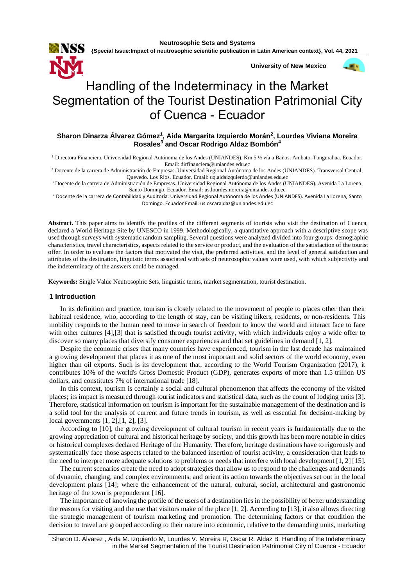**{Special Issue:Impact of neutrosophic scientific publication in Latin American context}, Vol. 44, 2021**

**University of New Mexico**



 $\overline{1}$ 

# Handling of the Indeterminacy in the Market Segmentation of the Tourist Destination Patrimonial City of Cuenca - Ecuador

# **Sharon Dinarza Álvarez Gómez<sup>1</sup> , Aida Margarita Izquierdo Morán<sup>2</sup> , Lourdes Viviana Moreira Rosales<sup>3</sup> and Oscar Rodrigo Aldaz Bombón<sup>4</sup>**

<sup>1</sup> Directora Financiera. Universidad Regional Autónoma de los Andes (UNIANDES). Km 5 ½ vía a Baños. Ambato. Tungurahua. Ecuador. Email[: dirfinanciera@uniandes.edu.ec](mailto:dirfinanciera@uniandes.edu.ec)

<sup>2</sup> Docente de la carrera de Administración de Empresas. Universidad Regional Autónoma de los Andes (UNIANDES). Transversal Central, Quevedo. Los Ríos. Ecuador. Email[: uq.aidaizquierdo@uniandes.edu.ec](mailto:uq.aidaizquierdo@uniandes.edu.ec)

<sup>3</sup> Docente de la carrera de Administración de Empresas. Universidad Regional Autónoma de los Andes (UNIANDES). Avenida La Lorena, Santo Domingo. Ecuador. Email: [us.lourdesmoreira@uniandes.edu.ec](mailto:us.lourdesmoreira@uniandes.edu.ec)

<sup>4</sup> Docente de la carrera de Contabilidad y Auditoría. Universidad Regional Autónoma de los Andes (UNIANDES). Avenida La Lorena, Santo Domingo. Ecuador Email[: us.oscaraldaz@uniandes.edu.ec](mailto:us.oscaraldaz@uniandes.edu.ec)

**Abstract.** This paper aims to identify the profiles of the different segments of tourists who visit the destination of Cuenca, declared a World Heritage Site by UNESCO in 1999. Methodologically, a quantitative approach with a descriptive scope was used through surveys with systematic random sampling. Several questions were analyzed divided into four groups: demographic characteristics, travel characteristics, aspects related to the service or product, and the evaluation of the satisfaction of the tourist offer. In order to evaluate the factors that motivated the visit, the preferred activities, and the level of general satisfaction and attributes of the destination, linguistic terms associated with sets of neutrosophic values were used, with which subjectivity and the indeterminacy of the answers could be managed.

**Keywords:** Single Value Neutrosophic Sets, linguistic terms, market segmentation, tourist destination.

## **1 Introduction**

In its definition and practice, tourism is closely related to the movement of people to places other than their habitual residence, who, according to the length of stay, can be visiting hikers, residents, or non-residents. This mobility responds to the human need to move in search of freedom to know the world and interact face to face with other cultures [4], [3] that is satisfied through tourist activity, with which individuals enjoy a wide offer to discover so many places that diversify consumer experiences and that set guidelines in demand [1, 2].

Despite the economic crises that many countries have experienced, tourism in the last decade has maintained a growing development that places it as one of the most important and solid sectors of the world economy, even higher than oil exports. Such is its development that, according to the World Tourism Organization (2017), it contributes 10% of the world's Gross Domestic Product (GDP), generates exports of more than 1.5 trillion US dollars, and constitutes 7% of international trade [18].

In this context, tourism is certainly a social and cultural phenomenon that affects the economy of the visited places; its impact is measured through tourist indicators and statistical data, such as the count of lodging units [3]. Therefore, statistical information on tourism is important for the sustainable management of the destination and is a solid tool for the analysis of current and future trends in tourism, as well as essential for decision-making by local governments [1, 2],[1, 2], [3].

According to [10], the growing development of cultural tourism in recent years is fundamentally due to the growing appreciation of cultural and historical heritage by society, and this growth has been more notable in cities or historical complexes declared Heritage of the Humanity. Therefore, heritage destinations have to rigorously and systematically face those aspects related to the balanced insertion of tourist activity, a consideration that leads to the need to interpret more adequate solutions to problems or needs that interfere with local development [1, 2] [15].

The current scenarios create the need to adopt strategies that allow us to respond to the challenges and demands of dynamic, changing, and complex environments; and orient its action towards the objectives set out in the local development plans [14]; where the enhancement of the natural, cultural, social, architectural and gastronomic heritage of the town is preponderant [16].

The importance of knowing the profile of the users of a destination lies in the possibility of better understanding the reasons for visiting and the use that visitors make of the place [1, 2]. According to [13], it also allows directing the strategic management of tourism marketing and promotion. The determining factors or that condition the decision to travel are grouped according to their nature into economic, relative to the demanding units, marketing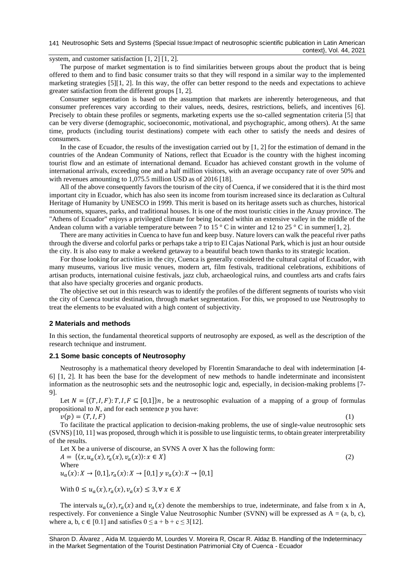141 Neutrosophic Sets and Systems {Special Issue:Impact of neutrosophic scientific publication in Latin American context}, Vol. 44, 2021

system, and customer satisfaction [1, 2] [1, 2].

The purpose of market segmentation is to find similarities between groups about the product that is being offered to them and to find basic consumer traits so that they will respond in a similar way to the implemented marketing strategies [5][1, 2]. In this way, the offer can better respond to the needs and expectations to achieve greater satisfaction from the different groups [1, 2].

Consumer segmentation is based on the assumption that markets are inherently heterogeneous, and that consumer preferences vary according to their values, needs, desires, restrictions, beliefs, and incentives [6]. Precisely to obtain these profiles or segments, marketing experts use the so-called segmentation criteria [5] that can be very diverse (demographic, socioeconomic, motivational, and psychographic, among others). At the same time, products (including tourist destinations) compete with each other to satisfy the needs and desires of consumers.

In the case of Ecuador, the results of the investigation carried out by [1, 2] for the estimation of demand in the countries of the Andean Community of Nations, reflect that Ecuador is the country with the highest incoming tourist flow and an estimate of international demand. Ecuador has achieved constant growth in the volume of international arrivals, exceeding one and a half million visitors, with an average occupancy rate of over 50% and with revenues amounting to 1,075.5 million USD as of 2016 [18].

All of the above consequently favors the tourism of the city of Cuenca, if we considered that it is the third most important city in Ecuador, which has also seen its income from tourism increased since its declaration as Cultural Heritage of Humanity by UNESCO in 1999. This merit is based on its heritage assets such as churches, historical monuments, squares, parks, and traditional houses. It is one of the most touristic cities in the Azuay province. The "Athens of Ecuador" enjoys a privileged climate for being located within an extensive valley in the middle of the Andean column with a variable temperature between 7 to 15  $\degree$  C in winter and 12 to 25  $\degree$  C in summer[1, 2].

There are many activities in Cuenca to have fun and keep busy. Nature lovers can walk the peaceful river paths through the diverse and colorful parks or perhaps take a trip to El Cajas National Park, which is just an hour outside the city. It is also easy to make a weekend getaway to a beautiful beach town thanks to its strategic location.

For those looking for activities in the city, Cuenca is generally considered the cultural capital of Ecuador, with many museums, various live music venues, modern art, film festivals, traditional celebrations, exhibitions of artisan products, international cuisine festivals, jazz club, archaeological ruins, and countless arts and crafts fairs that also have specialty groceries and organic products.

The objective set out in this research was to identify the profiles of the different segments of tourists who visit the city of Cuenca tourist destination, through market segmentation. For this, we proposed to use Neutrosophy to treat the elements to be evaluated with a high content of subjectivity.

#### **2 Materials and methods**

In this section, the fundamental theoretical supports of neutrosophy are exposed, as well as the description of the research technique and instrument.

## **2.1 Some basic concepts of Neutrosophy**

Neutrosophy is a mathematical theory developed by Florentin Smarandache to deal with indetermination [4- 6] [1, 2]. It has been the base for the development of new methods to handle indeterminate and inconsistent information as the neutrosophic sets and the neutrosophic logic and, especially, in decision-making problems [7- 9].

Let  $N = \{(T, I, F): T, I, F \subseteq [0,1]\}n$ , be a neutrosophic evaluation of a mapping of a group of formulas propositional to  $N$ , and for each sentence  $p$  you have:

 $v(p) = (T, I, F)$ 

To facilitate the practical application to decision-making problems, the use of single-value neutrosophic sets (SVNS) [10, 11] was proposed, through which it is possible to use linguistic terms, to obtain greater interpretability of the results.

Let X be a universe of discourse, an SVNS A over X has the following form:  $A = \{ (x, u_a(x), r_a(x), v_a(x)) : x \in X \}$  (2) Where  $u_a(x): X \to [0,1], r_a(x): X \to [0,1]$  y  $v_a(x): X \to [0,1]$ 

With  $0 \le u_a(x)$ ,  $r_a(x)$ ,  $v_a(x) \le 3$ ,  $\forall x \in X$ 

The intervals  $u_a(x)$ ,  $r_a(x)$  and  $v_a(x)$  denote the memberships to true, indeterminate, and false from x in A, respectively. For convenience a Single Value Neutrosophic Number (SVNN) will be expressed as  $A = (a, b, c)$ , where a, b,  $c \in [0.1]$  and satisfies  $0 \le a + b + c \le 3[12]$ .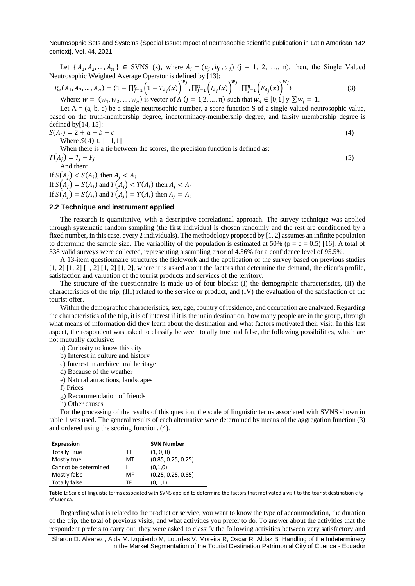Neutrosophic Sets and Systems {Special Issue:Impact of neutrosophic scientific publication in Latin American 142 context}, Vol. 44, 2021

Let  $\{A_1, A_2, ..., A_n\} \in$  SVNS (x), where  $A_j = (a_j, b_j, c_j)$  (j = 1, 2, ..., n), then, the Single Valued Neutrosophic Weighted Average Operator is defined by [13]:

$$
P_w(A_1, A_2, ..., A_n) = \langle 1 - \prod_{j=1}^n \left(1 - T_{A_j}(x)\right)^{w_j}, \prod_{j=1}^n \left( I_{A_j}(x)\right)^{w_j}, \prod_{j=1}^n \left( F_{A_j}(x)\right)^{w_j} \rangle
$$
\n(3)

Where:  $w = (w_1, w_2, ..., w_n)$  is vector of  $A_j (j = 1, 2, ..., n)$  such that  $w_n \in [0, 1]$   $y \sum w_j = 1$ .

Let  $A = (a, b, c)$  be a single neutrosophic number, a score function S of a single-valued neutrosophic value, based on the truth-membership degree, indeterminacy-membership degree, and falsity membership degree is defined by $[14, 15]$ :  $S(A)$ 

$$
(Ai) = 2 + a - b - c
$$
  
Where  $S(A) \in [-1,1]$  (4)

(5)

When there is a tie between the scores, the precision function is defined as:

$$
T(A_j) = T_j - F_j
$$
  
And then:  
If  $S(A_j) < S(A_i)$ , then  $A_j < A_i$ 

If  $S(A_j) = S(A_i)$  and  $T(A_j) < T(A_i)$  then  $A_j < A_i$ If  $S(A_j) = S(A_i)$  and  $T(A_j) = T(A_i)$  then  $A_j = A_i$ 

## **2.2 Technique and instrument applied**

The research is quantitative, with a descriptive-correlational approach. The survey technique was applied through systematic random sampling (the first individual is chosen randomly and the rest are conditioned by a fixed number, in this case, every 2 individuals). The methodology proposed by [1, 2] assumes an infinite population to determine the sample size. The variability of the population is estimated at 50% ( $p = q = 0.5$ ) [16]. A total of 338 valid surveys were collected, representing a sampling error of 4.56% for a confidence level of 95.5%.

A 13-item questionnaire structures the fieldwork and the application of the survey based on previous studies  $\left[1, 2\right]$   $\left[1, 2\right]$   $\left[1, 2\right]$   $\left[1, 2\right]$ , where it is asked about the factors that determine the demand, the client's profile, satisfaction and valuation of the tourist products and services of the territory.

The structure of the questionnaire is made up of four blocks: (I) the demographic characteristics, (II) the characteristics of the trip, (III) related to the service or product, and (IV) the evaluation of the satisfaction of the tourist offer.

Within the demographic characteristics, sex, age, country of residence, and occupation are analyzed. Regarding the characteristics of the trip, it is of interest if it is the main destination, how many people are in the group, through what means of information did they learn about the destination and what factors motivated their visit. In this last aspect, the respondent was asked to classify between totally true and false, the following possibilities, which are not mutually exclusive:

a) Curiosity to know this city

- b) Interest in culture and history
- c) Interest in architectural heritage

d) Because of the weather

- e) Natural attractions, landscapes
- f) Prices

g) Recommendation of friends

h) Other causes

For the processing of the results of this question, the scale of linguistic terms associated with SVNS shown in table 1 was used. The general results of each alternative were determined by means of the aggregation function (3) and ordered using the scoring function. (4).

| <b>Expression</b>    |    | <b>SVN Number</b>  |
|----------------------|----|--------------------|
| <b>Totally True</b>  | тт | (1, 0, 0)          |
| Mostly true          | мт | (0.85, 0.25, 0.25) |
| Cannot be determined |    | (0,1,0)            |
| Mostly false         | MF | (0.25, 0.25, 0.85) |
| Totally false        | ТF | (0,1,1)            |

**Table 1:** Scale of linguistic terms associated with SVNS applied to determine the factors that motivated a visit to the tourist destination city of Cuenca.

Regarding what is related to the product or service, you want to know the type of accommodation, the duration of the trip, the total of previous visits, and what activities you prefer to do. To answer about the activities that the respondent prefers to carry out, they were asked to classify the following activities between very satisfactory and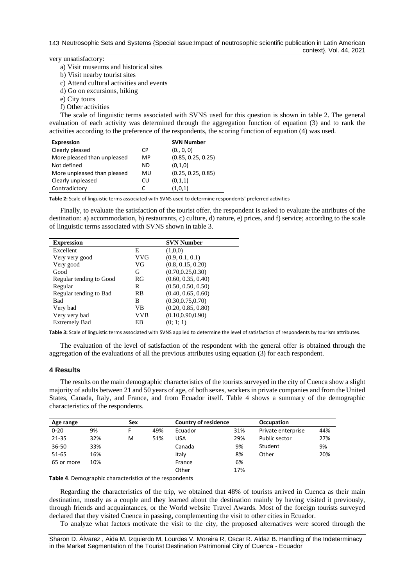very unsatisfactory:

a) Visit museums and historical sites

b) Visit nearby tourist sites

c) Attend cultural activities and events

- d) Go on excursions, hiking
- e) City tours
- f) Other activities

The scale of linguistic terms associated with SVNS used for this question is shown in table 2. The general evaluation of each activity was determined through the aggregation function of equation (3) and to rank the activities according to the preference of the respondents, the scoring function of equation (4) was used.

| <b>Expression</b>           |     | <b>SVN Number</b>  |
|-----------------------------|-----|--------------------|
| Clearly pleased             | СP  | (0., 0, 0)         |
| More pleased than unpleased | MP  | (0.85, 0.25, 0.25) |
| Not defined                 | ND. | (0,1,0)            |
| More unpleased than pleased | MU  | (0.25, 0.25, 0.85) |
| Clearly unpleased           | CU  | (0,1,1)            |
| Contradictory               |     | (1,0,1)            |

**Table 2:** Scale of linguistic terms associated with SVNS used to determine respondents' preferred activities

Finally, to evaluate the satisfaction of the tourist offer, the respondent is asked to evaluate the attributes of the destination: a) accommodation, b) restaurants, c) culture, d) nature, e) prices, and f) service; according to the scale of linguistic terms associated with SVNS shown in table 3.

| <b>Expression</b>       |            | <b>SVN Number</b>  |
|-------------------------|------------|--------------------|
| Excellent               | Е          | (1,0,0)            |
| Very very good          | <b>VVG</b> | (0.9, 0.1, 0.1)    |
| Very good               | VG         | (0.8, 0.15, 0.20)  |
| Good                    | G          | (0.70, 0.25, 0.30) |
| Regular tending to Good | RG         | (0.60, 0.35, 0.40) |
| Regular                 | R          | (0.50, 0.50, 0.50) |
| Regular tending to Bad  | RB         | (0.40, 0.65, 0.60) |
| Bad                     | B          | (0.30, 0.75, 0.70) |
| Very bad                | VB         | (0.20, 0.85, 0.80) |
| Very very bad           | <b>VVB</b> | (0.10, 0.90, 0.90) |
| <b>Extremely Bad</b>    | ЕB         | (0; 1; 1)          |

**Table 3:** Scale of linguistic terms associated with SVNS applied to determine the level of satisfaction of respondents by tourism attributes.

The evaluation of the level of satisfaction of the respondent with the general offer is obtained through the aggregation of the evaluations of all the previous attributes using equation (3) for each respondent.

#### **4 Results**

The results on the main demographic characteristics of the tourists surveyed in the city of Cuenca show a slight majority of adults between 21 and 50 years of age, of both sexes, workers in private companies and from the United States, Canada, Italy, and France, and from Ecuador itself. Table 4 shows a summary of the demographic characteristics of the respondents.

| Age range  |     | Sex |     | <b>Country of residence</b> |     | <b>Occupation</b>  |     |
|------------|-----|-----|-----|-----------------------------|-----|--------------------|-----|
| $0 - 20$   | 9%  |     | 49% | Ecuador                     | 31% | Private enterprise | 44% |
| 21-35      | 32% | М   | 51% | <b>USA</b>                  | 29% | Public sector      | 27% |
| 36-50      | 33% |     |     | Canada                      | 9%  | Student            | 9%  |
| 51-65      | 16% |     |     | Italy                       | 8%  | Other              | 20% |
| 65 or more | 10% |     |     | France                      | 6%  |                    |     |
|            |     |     |     | Other                       | 17% |                    |     |

**Table 4**. Demographic characteristics of the respondents

Regarding the characteristics of the trip, we obtained that 48% of tourists arrived in Cuenca as their main destination, mostly as a couple and they learned about the destination mainly by having visited it previously, through friends and acquaintances, or the World website Travel Awards. Most of the foreign tourists surveyed declared that they visited Cuenca in passing, complementing the visit to other cities in Ecuador.

To analyze what factors motivate the visit to the city, the proposed alternatives were scored through the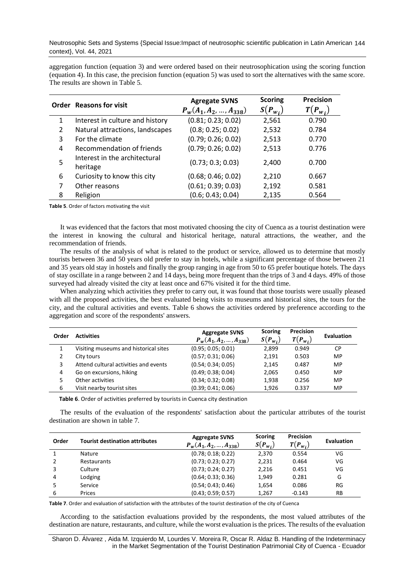Neutrosophic Sets and Systems {Special Issue:Impact of neutrosophic scientific publication in Latin American 144 context}, Vol. 44, 2021

aggregation function (equation 3) and were ordered based on their neutrosophication using the scoring function (equation 4). In this case, the precision function (equation 5) was used to sort the alternatives with the same score. The results are shown in Table 5.

|                | <b>Order</b> Reasons for visit            | <b>Agregate SVNS</b><br>$P_w(A_1, A_2, , A_{338})$ | <b>Scoring</b><br>$S(P_{wi})$ | <b>Precision</b><br>$T(P_{wi})$ |
|----------------|-------------------------------------------|----------------------------------------------------|-------------------------------|---------------------------------|
| 1              | Interest in culture and history           | (0.81; 0.23; 0.02)                                 | 2,561                         | 0.790                           |
| $\mathfrak{p}$ | Natural attractions, landscapes           | (0.8; 0.25; 0.02)                                  | 2,532                         | 0.784                           |
| 3              | For the climate                           | (0.79; 0.26; 0.02)                                 | 2,513                         | 0.770                           |
| 4              | Recommendation of friends                 | (0.79; 0.26; 0.02)                                 | 2,513                         | 0.776                           |
| 5              | Interest in the architectural<br>heritage | (0.73; 0.3; 0.03)                                  | 2,400                         | 0.700                           |
| 6              | Curiosity to know this city               | (0.68; 0.46; 0.02)                                 | 2,210                         | 0.667                           |
| 7              | Other reasons                             | (0.61; 0.39; 0.03)                                 | 2,192                         | 0.581                           |
| 8              | Religion                                  | (0.6; 0.43; 0.04)                                  | 2,135                         | 0.564                           |

**Table 5**. Order of factors motivating the visit

It was evidenced that the factors that most motivated choosing the city of Cuenca as a tourist destination were the interest in knowing the cultural and historical heritage, natural attractions, the weather, and the recommendation of friends.

The results of the analysis of what is related to the product or service, allowed us to determine that mostly tourists between 36 and 50 years old prefer to stay in hotels, while a significant percentage of those between 21 and 35 years old stay in hostels and finally the group ranging in age from 50 to 65 prefer boutique hotels. The days of stay oscillate in a range between 2 and 14 days, being more frequent than the trips of 3 and 4 days. 49% of those surveyed had already visited the city at least once and 67% visited it for the third time.

When analyzing which activities they prefer to carry out, it was found that those tourists were usually pleased with all the proposed activities, the best evaluated being visits to museums and historical sites, the tours for the city, and the cultural activities and events. Table 6 shows the activities ordered by preference according to the aggregation and score of the respondents' answers.

| Order | <b>Activities</b>                     | <b>Aggregate SVNS</b><br>$P_w(A_1, A_2, , A_{338})$ | <b>Scoring</b><br>$S(P_{wi})$ | Precision<br>$T(P_{W_i})$ | <b>Evaluation</b> |
|-------|---------------------------------------|-----------------------------------------------------|-------------------------------|---------------------------|-------------------|
|       | Visiting museums and historical sites | (0.95; 0.05; 0.01)                                  | 2,899                         | 0.949                     | CP                |
|       | City tours                            | (0.57; 0.31; 0.06)                                  | 2,191                         | 0.503                     | MP                |
| 3     | Attend cultural activities and events | (0.54; 0.34; 0.05)                                  | 2.145                         | 0.487                     | MP                |
| 4     | Go on excursions, hiking              | (0.49; 0.38; 0.04)                                  | 2,065                         | 0.450                     | MP                |
| 5     | Other activities                      | (0.34; 0.32; 0.08)                                  | 1,938                         | 0.256                     | MP                |
| 6     | Visit nearby tourist sites            | (0.39; 0.41; 0.06)                                  | 1.926                         | 0.337                     | MP                |

**Table 6**. Order of activities preferred by tourists in Cuenca city destination

The results of the evaluation of the respondents' satisfaction about the particular attributes of the tourist destination are shown in table 7.

| Order | <b>Tourist destination attributes</b> | <b>Aggregate SVNS</b><br>$P_w(A_1, A_2, , A_{338})$ | <b>Scoring</b><br>$S(P_{wi})$ | Precision<br>$T(P_{wi})$ | Evaluation |
|-------|---------------------------------------|-----------------------------------------------------|-------------------------------|--------------------------|------------|
|       | Nature                                | (0.78; 0.18; 0.22)                                  | 2.370                         | 0.554                    | VG         |
|       | Restaurants                           | (0.73; 0.23; 0.27)                                  | 2,231                         | 0.464                    | VG         |
| 3     | Culture                               | (0.73; 0.24; 0.27)                                  | 2,216                         | 0.451                    | VG         |
| 4     | Lodging                               | (0.64; 0.33; 0.36)                                  | 1,949                         | 0.281                    | G          |
|       | Service                               | (0.54; 0.43; 0.46)                                  | 1,654                         | 0.086                    | RG         |
| 6     | Prices                                | (0.43; 0.59; 0.57)                                  | 1,267                         | $-0.143$                 | <b>RB</b>  |

**Table 7**. Order and evaluation of satisfaction with the attributes of the tourist destination of the city of Cuenca

According to the satisfaction evaluations provided by the respondents, the most valued attributes of the destination are nature, restaurants, and culture, while the worst evaluation is the prices. The results of the evaluation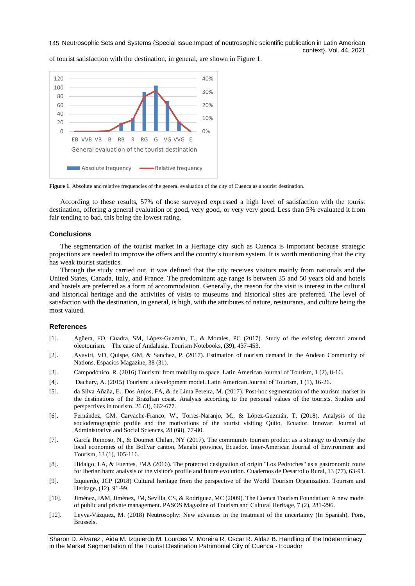



Figure 1. Absolute and relative frequencies of the general evaluation of the city of Cuenca as a tourist destination.

According to these results, 57% of those surveyed expressed a high level of satisfaction with the tourist destination, offering a general evaluation of good, very good, or very very good. Less than 5% evaluated it from fair tending to bad, this being the lowest rating.

# **Conclusions**

The segmentation of the tourist market in a Heritage city such as Cuenca is important because strategic projections are needed to improve the offers and the country's tourism system. It is worth mentioning that the city has weak tourist statistics.

Through the study carried out, it was defined that the city receives visitors mainly from nationals and the United States, Canada, Italy, and France. The predominant age range is between 35 and 50 years old and hotels and hostels are preferred as a form of accommodation. Generally, the reason for the visit is interest in the cultural and historical heritage and the activities of visits to museums and historical sites are preferred. The level of satisfaction with the destination, in general, is high, with the attributes of nature, restaurants, and culture being the most valued.

# **References**

- [1]. Agüera, FO, Cuadra, SM, López-Guzmán, T., & Morales, PC (2017). Study of the existing demand around oleotourism. The case of Andalusia. Tourism Notebooks, (39), 437-453.
- [2]. Ayaviri, VD, Quispe, GM, & Sanchez, P. (2017). Estimation of tourism demand in the Andean Community of Nations. Espacios Magazine, 38 (31).
- [3]. Campodónico, R. (2016) Tourism: from mobility to space. Latin American Journal of Tourism, 1 (2), 8-16.
- [4]. Dachary, A. (2015) Tourism: a development model. Latin American Journal of Tourism, 1 (1), 16-26.
- [5]. da Silva Añaña, E., Dos Anjos, FA, & de Lima Pereira, M. (2017). Post-hoc segmentation of the tourism market in the destinations of the Brazilian coast. Analysis according to the personal values of the tourists. Studies and perspectives in tourism, 26 (3), 662-677.
- [6]. Fernández, GM, Carvache-Franco, W., Torres-Naranjo, M., & López-Guzmán, T. (2018). Analysis of the sociodemographic profile and the motivations of the tourist visiting Quito, Ecuador. Innovar: Journal of Administrative and Social Sciences, 28 (68), 77-80.
- [7]. García Reinoso, N., & Doumet Chilan, NY (2017). The community tourism product as a strategy to diversify the local economies of the Bolívar canton, Manabí province, Ecuador. Inter-American Journal of Environment and Tourism, 13 (1), 105-116.
- [8]. Hidalgo, LA, & Fuentes, JMA (2016). The protected designation of origin "Los Pedroches" as a gastronomic route for Iberian ham: analysis of the visitor's profile and future evolution. Cuadernos de Desarrollo Rural, 13 (77), 63-91.
- [9]. Izquierdo, JCP (2018) Cultural heritage from the perspective of the World Tourism Organization. Tourism and Heritage, (12), 91-99.
- [10]. Jiménez, JAM, Jiménez, JM, Sevilla, CS, & Rodríguez, MC (2009). The Cuenca Tourism Foundation: A new model of public and private management. PASOS Magazine of Tourism and Cultural Heritage, 7 (2), 281-296.
- [12]. Leyva-Vázquez, M. (2018) Neutrosophy: New advances in the treatment of the uncertainty (In Spanish), Pons, Brussels.